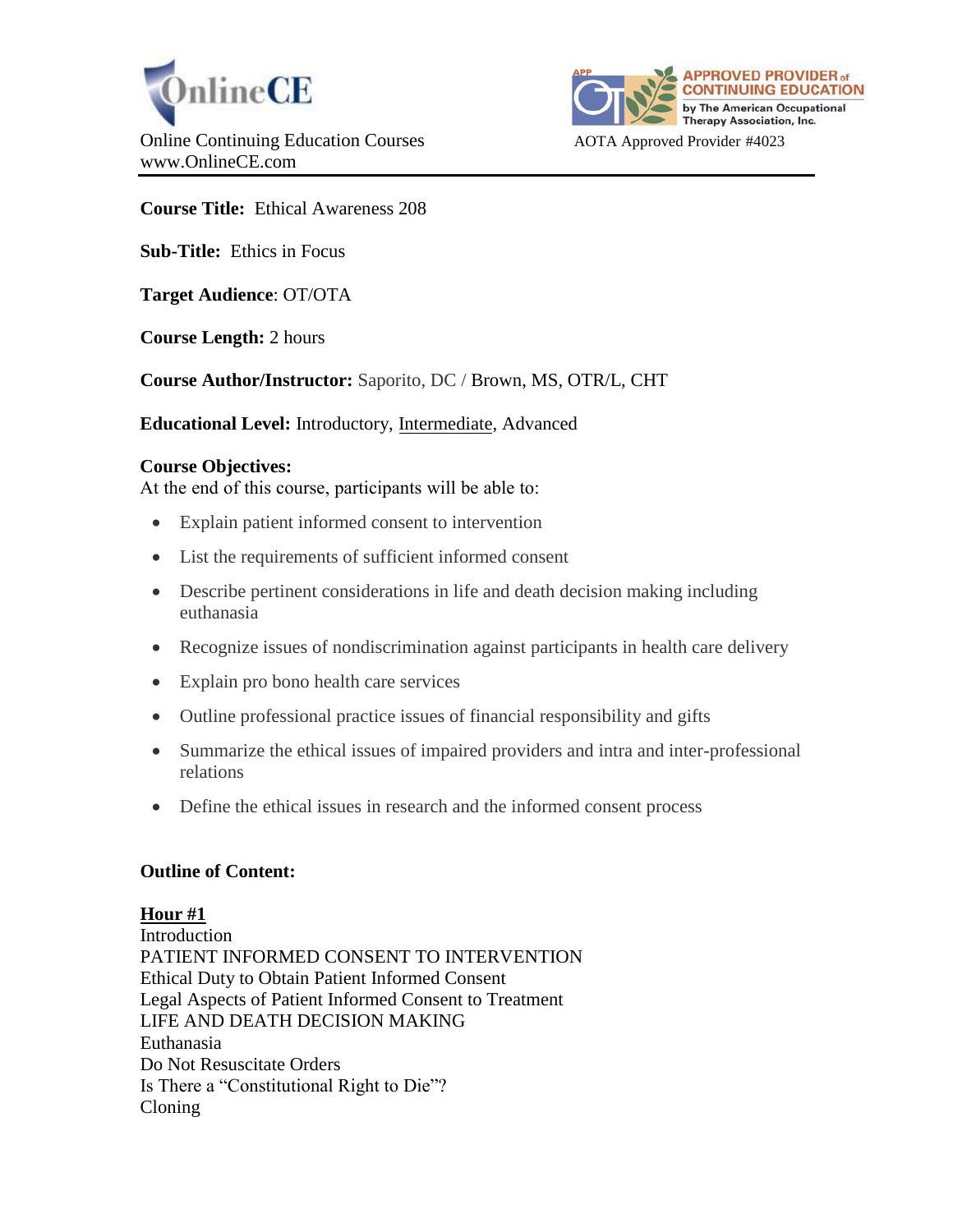



**Course Title:** Ethical Awareness 208

**Sub-Title:** Ethics in Focus

**Target Audience**: OT/OTA

**Course Length:** 2 hours

**Course Author/Instructor:** Saporito, DC / Brown, MS, OTR/L, CHT

**Educational Level:** Introductory, Intermediate, Advanced

### **Course Objectives:**

At the end of this course, participants will be able to:

- Explain patient informed consent to intervention
- List the requirements of sufficient informed consent
- Describe pertinent considerations in life and death decision making including euthanasia
- Recognize issues of nondiscrimination against participants in health care delivery
- Explain pro bono health care services
- Outline professional practice issues of financial responsibility and gifts
- Summarize the ethical issues of impaired providers and intra and inter-professional relations
- Define the ethical issues in research and the informed consent process

#### **Outline of Content:**

#### **Hour #1**

**Introduction** PATIENT INFORMED CONSENT TO INTERVENTION Ethical Duty to Obtain Patient Informed Consent Legal Aspects of Patient Informed Consent to Treatment LIFE AND DEATH DECISION MAKING Euthanasia Do Not Resuscitate Orders Is There a "Constitutional Right to Die"? Cloning